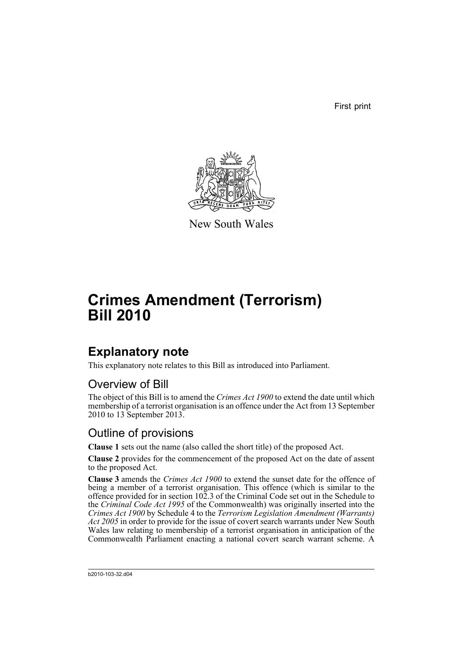First print



New South Wales

# **Crimes Amendment (Terrorism) Bill 2010**

## **Explanatory note**

This explanatory note relates to this Bill as introduced into Parliament.

#### Overview of Bill

The object of this Bill is to amend the *Crimes Act 1900* to extend the date until which membership of a terrorist organisation is an offence under the Act from 13 September 2010 to 13 September 2013.

#### Outline of provisions

**Clause 1** sets out the name (also called the short title) of the proposed Act.

**Clause 2** provides for the commencement of the proposed Act on the date of assent to the proposed Act.

**Clause 3** amends the *Crimes Act 1900* to extend the sunset date for the offence of being a member of a terrorist organisation. This offence (which is similar to the offence provided for in section 102.3 of the Criminal Code set out in the Schedule to the *Criminal Code Act 1995* of the Commonwealth) was originally inserted into the *Crimes Act 1900* by Schedule 4 to the *Terrorism Legislation Amendment (Warrants) Act 2005* in order to provide for the issue of covert search warrants under New South Wales law relating to membership of a terrorist organisation in anticipation of the Commonwealth Parliament enacting a national covert search warrant scheme. A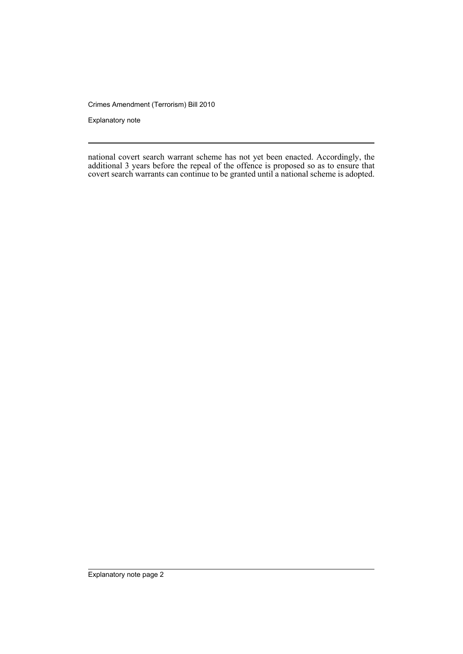Crimes Amendment (Terrorism) Bill 2010

Explanatory note

national covert search warrant scheme has not yet been enacted. Accordingly, the additional 3 years before the repeal of the offence is proposed so as to ensure that covert search warrants can continue to be granted until a national scheme is adopted.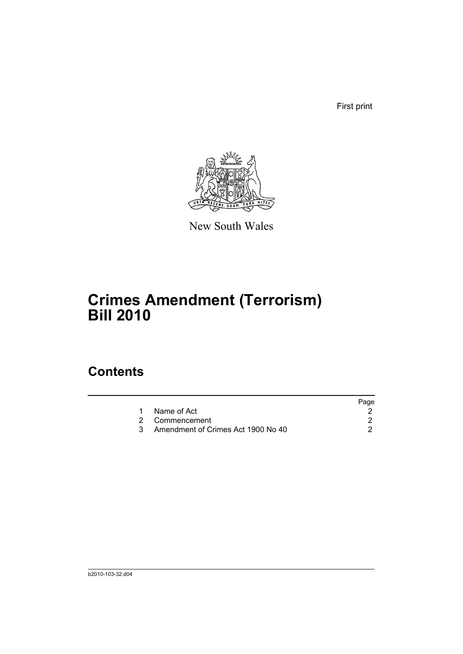First print



New South Wales

# **Crimes Amendment (Terrorism) Bill 2010**

### **Contents**

|                                    | Page |
|------------------------------------|------|
| Name of Act                        |      |
| 2 Commencement                     |      |
| Amendment of Crimes Act 1900 No 40 |      |
|                                    |      |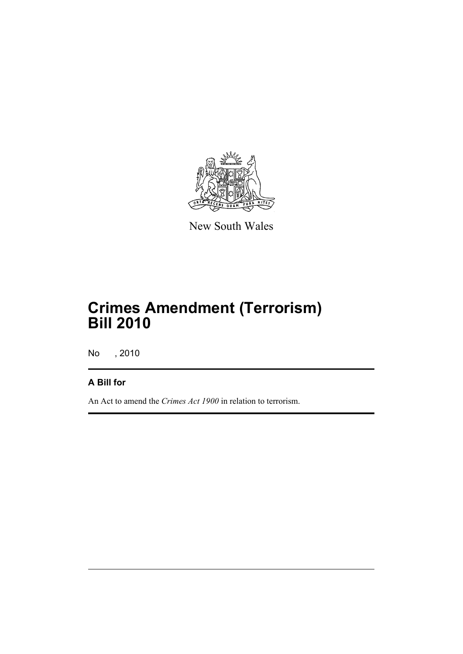

New South Wales

# **Crimes Amendment (Terrorism) Bill 2010**

No , 2010

#### **A Bill for**

An Act to amend the *Crimes Act 1900* in relation to terrorism.